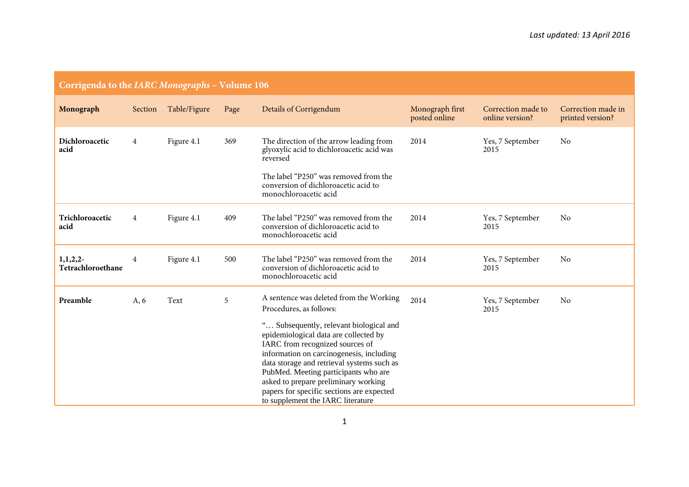| Corrigenda to the <i>IARC Monographs</i> – Volume 106 |                |              |      |                                                                                                                                                                                                                                                                                                                                                                                                                                                       |                                  |                                       |                                        |  |
|-------------------------------------------------------|----------------|--------------|------|-------------------------------------------------------------------------------------------------------------------------------------------------------------------------------------------------------------------------------------------------------------------------------------------------------------------------------------------------------------------------------------------------------------------------------------------------------|----------------------------------|---------------------------------------|----------------------------------------|--|
| Monograph                                             | Section        | Table/Figure | Page | Details of Corrigendum                                                                                                                                                                                                                                                                                                                                                                                                                                | Monograph first<br>posted online | Correction made to<br>online version? | Correction made in<br>printed version? |  |
| Dichloroacetic<br>acid                                | 4              | Figure 4.1   | 369  | The direction of the arrow leading from<br>glyoxylic acid to dichloroacetic acid was<br>reversed<br>The label "P250" was removed from the<br>conversion of dichloroacetic acid to<br>monochloroacetic acid                                                                                                                                                                                                                                            | 2014                             | Yes, 7 September<br>2015              | No                                     |  |
| Trichloroacetic<br>acid                               | $\overline{4}$ | Figure 4.1   | 409  | The label "P250" was removed from the<br>conversion of dichloroacetic acid to<br>monochloroacetic acid                                                                                                                                                                                                                                                                                                                                                | 2014                             | Yes, 7 September<br>2015              | No                                     |  |
| 1, 1, 2, 2<br>Tetrachloroethane                       | 4              | Figure 4.1   | 500  | The label "P250" was removed from the<br>conversion of dichloroacetic acid to<br>monochloroacetic acid                                                                                                                                                                                                                                                                                                                                                | 2014                             | Yes, 7 September<br>2015              | No                                     |  |
| Preamble                                              | A, 6           | Text         | 5    | A sentence was deleted from the Working<br>Procedures, as follows:<br>" Subsequently, relevant biological and<br>epidemiological data are collected by<br>IARC from recognized sources of<br>information on carcinogenesis, including<br>data storage and retrieval systems such as<br>PubMed. Meeting participants who are<br>asked to prepare preliminary working<br>papers for specific sections are expected<br>to supplement the IARC literature | 2014                             | Yes, 7 September<br>2015              | No                                     |  |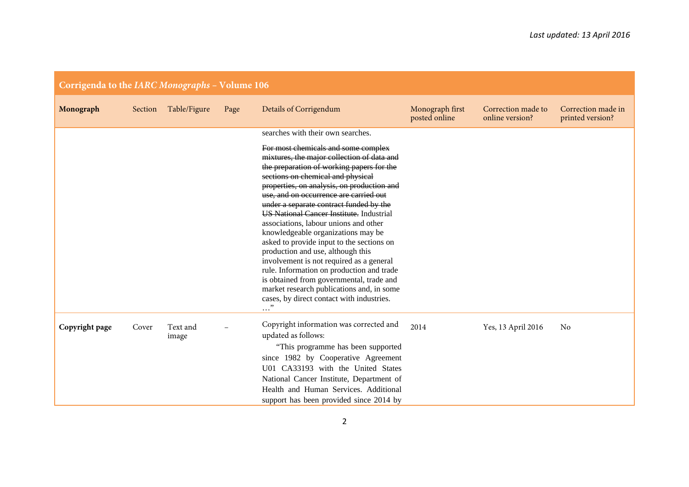| Corrigenda to the IARC Monographs - Volume 106 |         |                   |      |                                                                                                                                                                                                                                                                                                                                                                                                                                                                                                                                                                                                                                                                                                                                                                       |                                  |                                       |                                        |  |
|------------------------------------------------|---------|-------------------|------|-----------------------------------------------------------------------------------------------------------------------------------------------------------------------------------------------------------------------------------------------------------------------------------------------------------------------------------------------------------------------------------------------------------------------------------------------------------------------------------------------------------------------------------------------------------------------------------------------------------------------------------------------------------------------------------------------------------------------------------------------------------------------|----------------------------------|---------------------------------------|----------------------------------------|--|
| Monograph                                      | Section | Table/Figure      | Page | Details of Corrigendum                                                                                                                                                                                                                                                                                                                                                                                                                                                                                                                                                                                                                                                                                                                                                | Monograph first<br>posted online | Correction made to<br>online version? | Correction made in<br>printed version? |  |
|                                                |         |                   |      | searches with their own searches.                                                                                                                                                                                                                                                                                                                                                                                                                                                                                                                                                                                                                                                                                                                                     |                                  |                                       |                                        |  |
|                                                |         |                   |      | For most chemicals and some complex<br>mixtures, the major collection of data and<br>the preparation of working papers for the<br>sections on chemical and physical<br>properties, on analysis, on production and<br>use, and on occurrence are carried out<br>under a separate contract funded by the<br><b>US National Cancer Institute.</b> Industrial<br>associations, labour unions and other<br>knowledgeable organizations may be<br>asked to provide input to the sections on<br>production and use, although this<br>involvement is not required as a general<br>rule. Information on production and trade<br>is obtained from governmental, trade and<br>market research publications and, in some<br>cases, by direct contact with industries.<br>$\cdots$ |                                  |                                       |                                        |  |
| Copyright page                                 | Cover   | Text and<br>image |      | Copyright information was corrected and<br>updated as follows:                                                                                                                                                                                                                                                                                                                                                                                                                                                                                                                                                                                                                                                                                                        | 2014                             | Yes, 13 April 2016                    | No                                     |  |
|                                                |         |                   |      | "This programme has been supported<br>since 1982 by Cooperative Agreement<br>U01 CA33193 with the United States<br>National Cancer Institute, Department of<br>Health and Human Services. Additional<br>support has been provided since 2014 by                                                                                                                                                                                                                                                                                                                                                                                                                                                                                                                       |                                  |                                       |                                        |  |